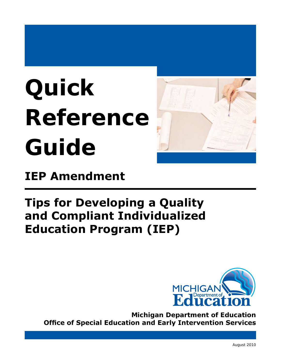# **Quick Reference Guide**



## **IEP Amendment**

## **Tips for Developing a Quality and Compliant Individualized Education Program (IEP)**



**Michigan Department of Education Office of Special Education and Early Intervention Services**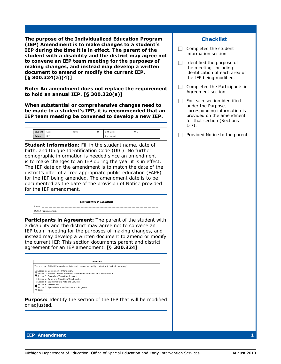**The purpose of the Individualized Education Program (IEP) Amendment is to make changes to a student's IEP during the time it is in effect. The parent of the student with a disability and the district may agree not to convene an IEP team meeting for the purposes of making changes, and instead may develop a written document to amend or modify the current IEP. [§ 300.324(a)(4)]**

**Note: An amendment does not replace the requirement to hold an annual IEP. [§ 300.320(a)]**

**When substantial or comprehensive changes need to be made to a student's IEP, it is recommended that an IEP team meeting be convened to develop a new IEP.**

| <b>Student</b> | Last: | First: | M: | Birth Date: | UIC: |  |
|----------------|-------|--------|----|-------------|------|--|
| <b>Dates</b>   | IEP:  |        |    | Amendment:  |      |  |

*Student Information:* Fill in the student name, date of birth, and Unique Identification Code (UIC). No further demographic information is needed since an amendment is to make changes to an IEP during the year it is in effect. The IEP date on the amendment is to match the date of the district's offer of a free appropriate public education (FAPE) for the IEP being amended. The amendment date is to be documented as the date of the provision of Notice provided for the IEP amendment.

|                                 | <b>PARTICIPANTS IN AGREEMENT</b> |  |
|---------------------------------|----------------------------------|--|
| Paren'                          |                                  |  |
|                                 |                                  |  |
| <b>District Representative:</b> |                                  |  |

*Participants in Agreement:* The parent of the student with a disability and the district may agree not to convene an IEP team meeting for the purposes of making changes, and instead may develop a written document to amend or modify the current IEP. This section documents parent and district agreement for an IEP amendment. **[§ 300.324]** 

| <b>PURPOSE</b>                                                                                    |  |
|---------------------------------------------------------------------------------------------------|--|
| The purpose of this IEP amendment is to add, remove, or modify content in (check all that apply): |  |
| Section 1: Demographic Information.                                                               |  |
| □ Section 2: Present Level of Academic Achievement and Functional Performance.                    |  |
| Section 3: Secondary Transition Services.                                                         |  |
| Section 4: Goals and Objectives/Benchmarks.                                                       |  |
| Section 5: Supplementary Aids and Services.                                                       |  |
| Section 6: Assessment.                                                                            |  |
| Section 7: Special Education Services and Programs.                                               |  |
| $\Box$ Other:                                                                                     |  |

*Purpose:* Identify the section of the IEP that will be modified or adjusted.

#### **Checklist**

- $\Box$  Completed the student information section.
- $\Box$  Identified the purpose of the meeting, including identification of each area of the IEP being modified.
- $\Box$  Completed the Participants in Agreement section.
- $\Box$  For each section identified under the Purpose, corresponding information is provided on the amendment for that section (Sections  $1-7$ ).

 $\Box$  Provided Notice to the parent.

#### **IEP Amendment 1**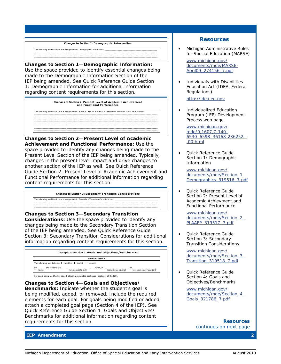*Changes to Section 1:* **Demographic Information** The following modifications are being made to Demographic Information: \_\_\_\_\_\_\_\_\_\_\_\_\_\_\_\_\_\_\_\_\_\_\_\_\_\_\_\_\_\_\_\_\_\_\_\_\_\_\_\_\_\_\_\_ \_\_\_\_\_\_\_\_\_\_\_\_\_\_\_\_\_\_\_\_\_\_\_\_\_\_\_\_\_\_\_\_\_\_\_\_\_\_\_\_\_\_\_\_\_\_\_\_\_\_\_\_\_\_\_\_\_\_\_\_\_\_\_\_\_\_\_\_\_\_\_\_\_\_\_\_\_\_\_\_\_\_\_\_\_\_\_\_\_\_\_\_\_\_\_\_\_\_\_\_\_\_\_ \_\_\_\_\_\_\_\_\_\_\_\_\_\_\_\_\_\_\_\_\_\_\_\_\_\_\_\_\_\_\_\_\_\_\_\_\_\_\_\_\_\_\_\_\_\_\_\_\_\_\_\_\_\_\_\_\_\_\_\_\_\_\_\_\_\_\_\_\_\_\_\_\_\_\_\_\_\_\_\_\_\_\_\_\_\_\_\_\_\_\_\_\_\_\_\_\_\_\_\_\_\_\_  $\_$  , and the set of the set of the set of the set of the set of the set of the set of the set of the set of the set of the set of the set of the set of the set of the set of the set of the set of the set of the set of th

*Changes to Section 1*—*Demographic Information:*  Use the space provided to identify essential changes being made to the Demographic Information Section of the IEP being amended. See *Quick Reference Guide Section 1: Demographic Information* for additional information regarding content requirements for this section.



*Changes to Section 2*—*Present Level of Academic Achievement and Functional Performance:* Use the space provided to identify any changes being made to the Present Level Section of the IEP being amended. Typically, changes in the present level impact and drive changes to another section of the IEP as well. See *Quick Reference Guide Section 2: Present Level of Academic Achievement and Functional Performance* for additional information regarding content requirements for this section.



*Changes to Section 3*—*Secondary Transition Considerations:* Use the space provided to identify any changes being made to the Secondary Transition Section of the IEP being amended. See *Quick Reference Guide Section 3: Secondary Transition Considerations* for additional information regarding content requirements for this section.

![](_page_2_Figure_6.jpeg)

*Changes to Section 4*—*Goals and Objectives/ Benchmarks:* Indicate whether the student's goal is being modified, added, or removed. Include the required elements for each goal. For goals being modified or added, attach a completed goal page (Section 4 of the IEP). See *Quick Reference Guide Section 4: Goals and Objectives/ Benchmarks* for additional information regarding content requirements for this section.

#### **Resources**

*• Michigan Administrative Rules for Special Education* (MARSE)

[www.michigan.gov/](http://www.michigan.gov/documents/mde/MARSE-April09_274156_7.pdf)  [documents/mde/MARSE-](http://www.michigan.gov/documents/mde/MARSE-April09_274156_7.pdf)[April09\\_274156\\_7.pdf](http://www.michigan.gov/documents/mde/MARSE-April09_274156_7.pdf) 

*• Individuals with Disabilities Education Act* (IDEA, Federal Regulations)

[http://idea.ed.gov](http://idea.ed.gov/explore/view/p/%2Croot%2Cregs%2C) 

*• Individualized Education Program (IEP) Development Process web page* 

> *[www.michigan.gov/](www.michigan.gov/mde/0,1607,7-140-6530_6598_36168-236252--,00.html) [mde/0,1607,7-140-](www.michigan.gov/mde/0,1607,7-140-6530_6598_36168-236252--,00.html) [6530\\_6598\\_36168-236252--](www.michigan.gov/mde/0,1607,7-140-6530_6598_36168-236252--,00.html) [,00.html](www.michigan.gov/mde/0,1607,7-140-6530_6598_36168-236252--,00.html)*

*• Quick Reference Guide Section 1: Demographic Information* 

[www.michigan.gov/](www.michigan.gov/documents/mde/Section_1_Demographics_319516_7.pdf)  [documents/mde/Section\\_1\\_](www.michigan.gov/documents/mde/Section_1_Demographics_319516_7.pdf) Demographics 319516 7.pdf

*• Quick Reference Guide Section 2: Present Level of Academic Achievment and Functional Performance* 

[www.michigan.gov/](www.michigan.gov/documents/mde/Section_2_PLAAFP_319517_7.pdf)  [documents/mde/Section\\_2\\_](www.michigan.gov/documents/mde/Section_2_PLAAFP_319517_7.pdf) [PLAAFP\\_319517\\_7.pdf](www.michigan.gov/documents/mde/Section_2_PLAAFP_319517_7.pdf) 

*• Quick Reference Guide Section 3: Secondary Transition Considerations* 

[www.michigan.gov/](www.michigan.gov/documents/mde/Section_3_Transition_319518_7.pdf)  [documents/mde/Section\\_3\\_](www.michigan.gov/documents/mde/Section_3_Transition_319518_7.pdf) [Transition\\_319518\\_7.pdf](www.michigan.gov/documents/mde/Section_3_Transition_319518_7.pdf)

*• Quick Reference Guide Section 4: Goals and Objectives/Benchmarks* 

> [www.michigan.gov/](www.michigan.gov/documents/mde/Section_4_Goals_321786_7.pdf)  [documents/mde/Section\\_4\\_](www.michigan.gov/documents/mde/Section_4_Goals_321786_7.pdf) [Goals\\_321786\\_7.pdf](www.michigan.gov/documents/mde/Section_4_Goals_321786_7.pdf)

> > *Resources continues on next page*

#### **IEP Amendment 2**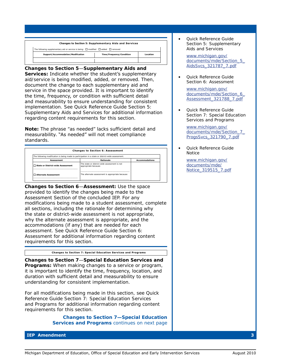![](_page_3_Figure_0.jpeg)

*Changes to Section 5*—*Supplementary Aids and*  **Services:** Indicate whether the student's supplementary aid/service is being modified, added, or removed. Then, document the change to each supplementary aid and service in the space provided. It is important to identify the time, frequency, or condition with sufficient detail and measurability to ensure understanding for consistent implementation. See *Quick Reference Guide Section 5: Supplementary Aids and Services* for additional information regarding content requirements for this section.

**Note:** The phrase "as needed" lacks sufficient detail and measurability. "As needed" will not meet compliance standards.

| Changes to Section 6: Assessment    |                                                                                                   |                       |  |  |  |
|-------------------------------------|---------------------------------------------------------------------------------------------------|-----------------------|--|--|--|
|                                     | The following modification is being made to participation in a state or district-wide assessment. |                       |  |  |  |
| <b>Assessment</b>                   | Rationale                                                                                         | <b>Accommodations</b> |  |  |  |
| □ State or District-wide Assessment | The state or district-wide assessment is not<br>appropriate because:                              |                       |  |  |  |
| <b>Alternate Assessment</b>         | The alternate assessment is appropriate because:                                                  |                       |  |  |  |
|                                     |                                                                                                   |                       |  |  |  |

*Changes to Section 6*—*Assessment:* Use the space provided to identify the changes being made to the Assessment Section of the concluded IEP. For any modifications being made to a student assessment, complete all sections, including the rationale for determining why the state or district-wide assessment is not appropriate, why the alternate assessment is appropriate, and the accommodations (if any) that are needed for each assessment. See *Quick Reference Guide Section 6: Assessment* for additional information regarding content requirements for this section.

*Changes to Section 7:* **Special Education Services and Programs**

*Changes to Section 7*—*Special Education Services and Programs:* When making changes to a service or program, it is important to identify the time, frequency, location, and duration with sufficient detail and measurability to ensure understanding for consistent implementation.

For all modifications being made in this section, see *Quick Reference Guide Section 7: Special Education Services and Programs* for additional information regarding content requirements for this section.

> *Changes to Section 7—Special Education Services and Programs continues on next page*

**IEP Amendment 3**

*• Quick Reference Guide Section 5: Supplementary Aids and Services* 

[www.michigan.gov/](www.michigan.gov/documents/mde/Section_5_AidsSvcs_321787_7.pdf)  [documents/mde/Section\\_5\\_](www.michigan.gov/documents/mde/Section_5_AidsSvcs_321787_7.pdf) [AidsSvcs\\_321787\\_7.pdf](www.michigan.gov/documents/mde/Section_5_AidsSvcs_321787_7.pdf)

*• Quick Reference Guide Section 6: Assessment* 

> [www.michigan.gov/](www.michigan.gov/documents/mde/Section_6_Assessment_321788_7.pdf)  [documents/mde/Section\\_6\\_](www.michigan.gov/documents/mde/Section_6_Assessment_321788_7.pdf) [Assessment\\_321788\\_7.pdf](www.michigan.gov/documents/mde/Section_6_Assessment_321788_7.pdf)

*• Quick Reference Guide Section 7: Special Education Services and Programs* 

[www.michigan.gov/](www.michigan.gov/documents/mde/Section_7_ProgsSvcs_321790_7.pdf)  [documents/mde/Section\\_7\\_](www.michigan.gov/documents/mde/Section_7_ProgsSvcs_321790_7.pdf) [ProgsSvcs\\_321790\\_7.pdf](www.michigan.gov/documents/mde/Section_7_ProgsSvcs_321790_7.pdf)

*• Quick Reference Guide Notice* 

> [www.michigan.gov/](www.michigan.gov/documents/mde/Notice_319515_7.pdf)  [documents/mde/](www.michigan.gov/documents/mde/Notice_319515_7.pdf)  [Notice\\_319515\\_7.pdf](www.michigan.gov/documents/mde/Notice_319515_7.pdf)